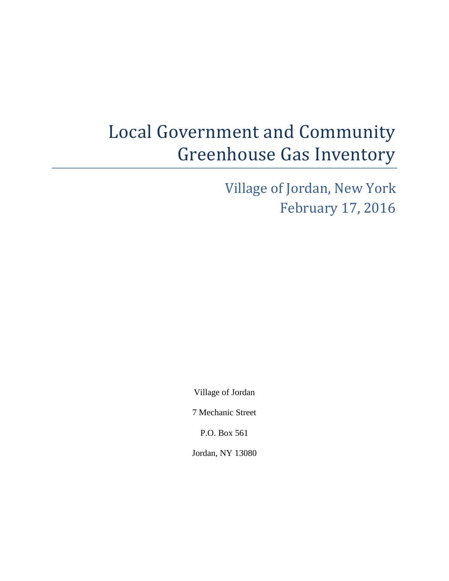# Local Government and Community Greenhouse Gas Inventory

Village of Jordan, New York February 17, 2016

Village of Jordan

7 Mechanic Street

P.O. Box 561

Jordan, NY 13080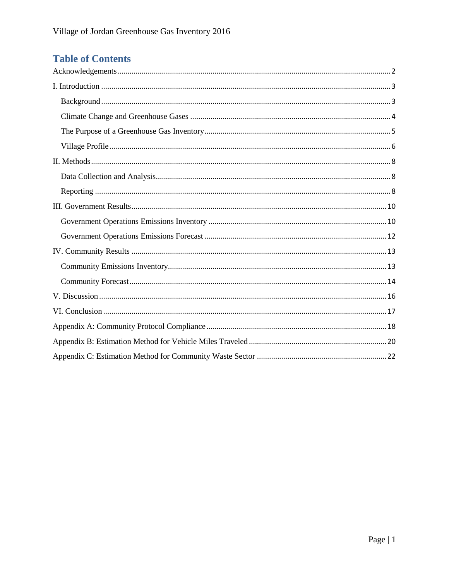# **Table of Contents**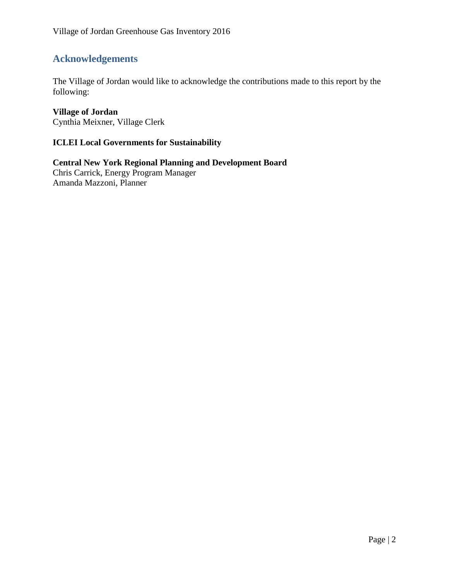# <span id="page-2-0"></span>**Acknowledgements**

The Village of Jordan would like to acknowledge the contributions made to this report by the following:

# **Village of Jordan**

Cynthia Meixner, Village Clerk

## **ICLEI Local Governments for Sustainability**

**Central New York Regional Planning and Development Board** Chris Carrick, Energy Program Manager Amanda Mazzoni, Planner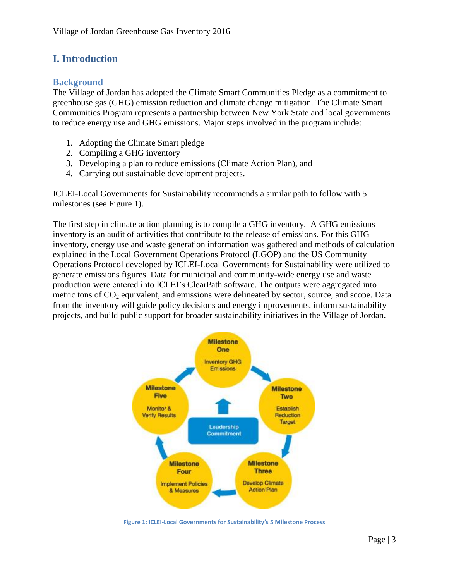# <span id="page-3-0"></span>**I. Introduction**

#### <span id="page-3-1"></span>**Background**

The Village of Jordan has adopted the Climate Smart Communities Pledge as a commitment to greenhouse gas (GHG) emission reduction and climate change mitigation. The Climate Smart Communities Program represents a partnership between New York State and local governments to reduce energy use and GHG emissions. Major steps involved in the program include:

- 1. Adopting the Climate Smart pledge
- 2. Compiling a GHG inventory
- 3. Developing a plan to reduce emissions (Climate Action Plan), and
- 4. Carrying out sustainable development projects.

ICLEI-Local Governments for Sustainability recommends a similar path to follow with 5 milestones (see Figure 1).

The first step in climate action planning is to compile a GHG inventory. A GHG emissions inventory is an audit of activities that contribute to the release of emissions. For this GHG inventory, energy use and waste generation information was gathered and methods of calculation explained in the Local Government Operations Protocol (LGOP) and the US Community Operations Protocol developed by ICLEI-Local Governments for Sustainability were utilized to generate emissions figures. Data for municipal and community-wide energy use and waste production were entered into ICLEI's ClearPath software. The outputs were aggregated into metric tons of  $CO<sub>2</sub>$  equivalent, and emissions were delineated by sector, source, and scope. Data from the inventory will guide policy decisions and energy improvements, inform sustainability projects, and build public support for broader sustainability initiatives in the Village of Jordan.



**Figure 1: ICLEI-Local Governments for Sustainability's 5 Milestone Process**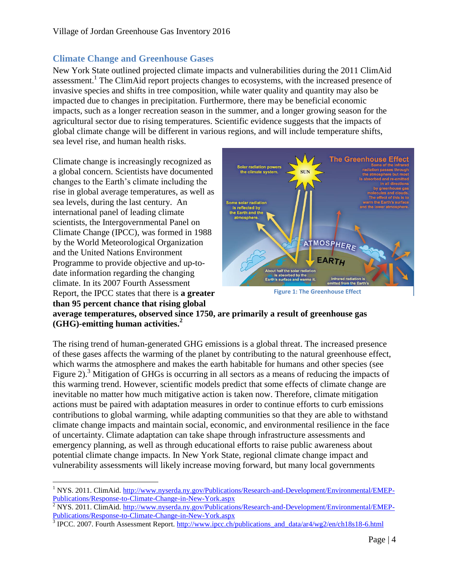#### <span id="page-4-0"></span>**Climate Change and Greenhouse Gases**

New York State outlined projected climate impacts and vulnerabilities during the 2011 ClimAid assessment.<sup>1</sup> The ClimAid report projects changes to ecosystems, with the increased presence of invasive species and shifts in tree composition, while water quality and quantity may also be impacted due to changes in precipitation. Furthermore, there may be beneficial economic impacts, such as a longer recreation season in the summer, and a longer growing season for the agricultural sector due to rising temperatures. Scientific evidence suggests that the impacts of global climate change will be different in various regions, and will include temperature shifts, sea level rise, and human health risks.

Climate change is increasingly recognized as a global concern. Scientists have documented changes to the Earth's climate including the rise in global average temperatures, as well as sea levels, during the last century. An international panel of leading climate scientists, the Intergovernmental Panel on Climate Change (IPCC), was formed in 1988 by the World Meteorological Organization and the United Nations Environment Programme to provide objective and up-todate information regarding the changing climate. In its 2007 Fourth Assessment Report, the IPCC states that there is **a greater than 95 percent chance that rising global** 



**Figure 1: The Greenhouse Effect**

**average temperatures, observed since 1750, are primarily a result of greenhouse gas (GHG)-emitting human activities.<sup>2</sup>**

The rising trend of human-generated GHG emissions is a global threat. The increased presence of these gases affects the warming of the planet by contributing to the natural greenhouse effect, which warms the atmosphere and makes the earth habitable for humans and other species (see Figure 2).<sup>3</sup> Mitigation of GHGs is occurring in all sectors as a means of reducing the impacts of this warming trend. However, scientific models predict that some effects of climate change are inevitable no matter how much mitigative action is taken now. Therefore, climate mitigation actions must be paired with adaptation measures in order to continue efforts to curb emissions contributions to global warming, while adapting communities so that they are able to withstand climate change impacts and maintain social, economic, and environmental resilience in the face of uncertainty. Climate adaptation can take shape through infrastructure assessments and emergency planning, as well as through educational efforts to raise public awareness about potential climate change impacts. In New York State, regional climate change impact and vulnerability assessments will likely increase moving forward, but many local governments

 $\overline{a}$ <sup>1</sup> NYS. 2011. ClimAid. [http://www.nyserda.ny.gov/Publications/Research-and-Development/Environmental/EMEP-](http://www.nyserda.ny.gov/Publications/Research-and-Development/Environmental/EMEP-Publications/Response-to-Climate-Change-in-New-York.aspx)[Publications/Response-to-Climate-Change-in-New-York.aspx](http://www.nyserda.ny.gov/Publications/Research-and-Development/Environmental/EMEP-Publications/Response-to-Climate-Change-in-New-York.aspx)

 $\frac{2}{3}$  NYS. 2011. ClimAid. [http://www.nyserda.ny.gov/Publications/Research-and-Development/Environmental/EMEP-](http://www.nyserda.ny.gov/Publications/Research-and-Development/Environmental/EMEP-Publications/Response-to-Climate-Change-in-New-York.aspx)[Publications/Response-to-Climate-Change-in-New-York.aspx](http://www.nyserda.ny.gov/Publications/Research-and-Development/Environmental/EMEP-Publications/Response-to-Climate-Change-in-New-York.aspx)

<sup>&</sup>lt;sup>3</sup> IPCC. 2007. Fourth Assessment Report. [http://www.ipcc.ch/publications\\_and\\_data/ar4/wg2/en/ch18s18-6.html](http://www.ipcc.ch/publications_and_data/ar4/wg2/en/ch18s18-6.html)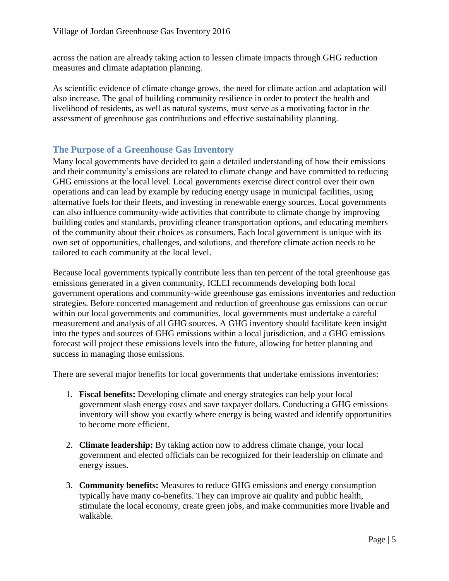across the nation are already taking action to lessen climate impacts through GHG reduction measures and climate adaptation planning.

As scientific evidence of climate change grows, the need for climate action and adaptation will also increase. The goal of building community resilience in order to protect the health and livelihood of residents, as well as natural systems, must serve as a motivating factor in the assessment of greenhouse gas contributions and effective sustainability planning.

#### <span id="page-5-0"></span>**The Purpose of a Greenhouse Gas Inventory**

Many local governments have decided to gain a detailed understanding of how their emissions and their community's emissions are related to climate change and have committed to reducing GHG emissions at the local level. Local governments exercise direct control over their own operations and can lead by example by reducing energy usage in municipal facilities, using alternative fuels for their fleets, and investing in renewable energy sources. Local governments can also influence community-wide activities that contribute to climate change by improving building codes and standards, providing cleaner transportation options, and educating members of the community about their choices as consumers. Each local government is unique with its own set of opportunities, challenges, and solutions, and therefore climate action needs to be tailored to each community at the local level.

Because local governments typically contribute less than ten percent of the total greenhouse gas emissions generated in a given community, ICLEI recommends developing both local government operations and community-wide greenhouse gas emissions inventories and reduction strategies. Before concerted management and reduction of greenhouse gas emissions can occur within our local governments and communities, local governments must undertake a careful measurement and analysis of all GHG sources. A GHG inventory should facilitate keen insight into the types and sources of GHG emissions within a local jurisdiction, and a GHG emissions forecast will project these emissions levels into the future, allowing for better planning and success in managing those emissions.

There are several major benefits for local governments that undertake emissions inventories:

- 1. **Fiscal benefits:** Developing climate and energy strategies can help your local government slash energy costs and save taxpayer dollars. Conducting a GHG emissions inventory will show you exactly where energy is being wasted and identify opportunities to become more efficient.
- 2. **Climate leadership:** By taking action now to address climate change, your local government and elected officials can be recognized for their leadership on climate and energy issues.
- 3. **Community benefits:** Measures to reduce GHG emissions and energy consumption typically have many co-benefits. They can improve air quality and public health, stimulate the local economy, create green jobs, and make communities more livable and walkable.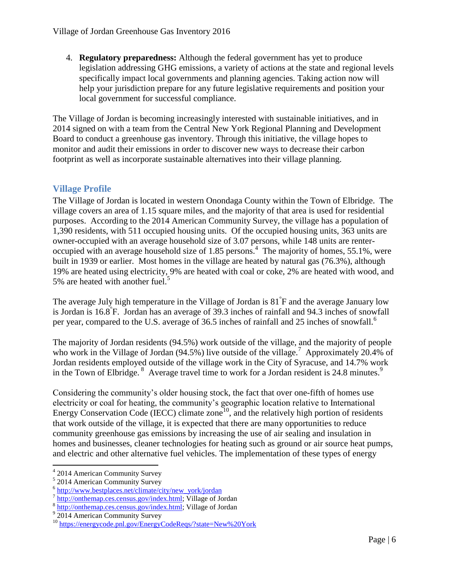4. **Regulatory preparedness:** Although the federal government has yet to produce legislation addressing GHG emissions, a variety of actions at the state and regional levels specifically impact local governments and planning agencies. Taking action now will help your jurisdiction prepare for any future legislative requirements and position your local government for successful compliance.

The Village of Jordan is becoming increasingly interested with sustainable initiatives, and in 2014 signed on with a team from the Central New York Regional Planning and Development Board to conduct a greenhouse gas inventory. Through this initiative, the village hopes to monitor and audit their emissions in order to discover new ways to decrease their carbon footprint as well as incorporate sustainable alternatives into their village planning.

### <span id="page-6-0"></span>**Village Profile**

The Village of Jordan is located in western Onondaga County within the Town of Elbridge. The village covers an area of 1.15 square miles, and the majority of that area is used for residential purposes. According to the 2014 American Community Survey, the village has a population of 1,390 residents, with 511 occupied housing units. Of the occupied housing units, 363 units are owner-occupied with an average household size of 3.07 persons, while 148 units are renteroccupied with an average household size of 1.85 persons. 4 The majority of homes, 55.1%, were built in 1939 or earlier. Most homes in the village are heated by natural gas (76.3%), although 19% are heated using electricity, 9% are heated with coal or coke, 2% are heated with wood, and 5% are heated with another fuel.<sup>5</sup>

The average July high temperature in the Village of Jordan is 81° F and the average January low is Jordan is 16.8° F. Jordan has an average of 39.3 inches of rainfall and 94.3 inches of snowfall per year, compared to the U.S. average of 36.5 inches of rainfall and 25 inches of snowfall.<sup>6</sup>

The majority of Jordan residents (94.5%) work outside of the village, and the majority of people who work in the Village of Jordan (94.5%) live outside of the village.<sup>7</sup> Approximately 20.4% of Jordan residents employed outside of the village work in the City of Syracuse, and 14.7% work in the Town of Elbridge.<sup>8</sup> Average travel time to work for a Jordan resident is 24.8 minutes.<sup>9</sup>

Considering the community's older housing stock, the fact that over one-fifth of homes use electricity or coal for heating, the community's geographic location relative to International Energy Conservation Code (IECC) climate zone<sup>10</sup>, and the relatively high portion of residents that work outside of the village, it is expected that there are many opportunities to reduce community greenhouse gas emissions by increasing the use of air sealing and insulation in homes and businesses, cleaner technologies for heating such as ground or air source heat pumps, and electric and other alternative fuel vehicles. The implementation of these types of energy

 $\overline{\phantom{a}}$ 4 2014 American Community Survey

<sup>5</sup> 2014 American Community Survey

<sup>&</sup>lt;sup>6</sup> [http://www.bestplaces.net/climate/city/new\\_york/jordan](http://www.bestplaces.net/climate/city/new_york/jordan)

<sup>&</sup>lt;sup>7</sup> [http://onthemap.ces.census.gov/index.html;](http://onthemap.ces.census.gov/index.html) Village of Jordan

<sup>&</sup>lt;sup>8</sup> [http://onthemap.ces.census.gov/index.html;](http://onthemap.ces.census.gov/index.html) Village of Jordan

<sup>&</sup>lt;sup>9</sup> 2014 American Community Survey

<sup>&</sup>lt;sup>10</sup> <https://energycode.pnl.gov/EnergyCodeReqs/?state=New%20York>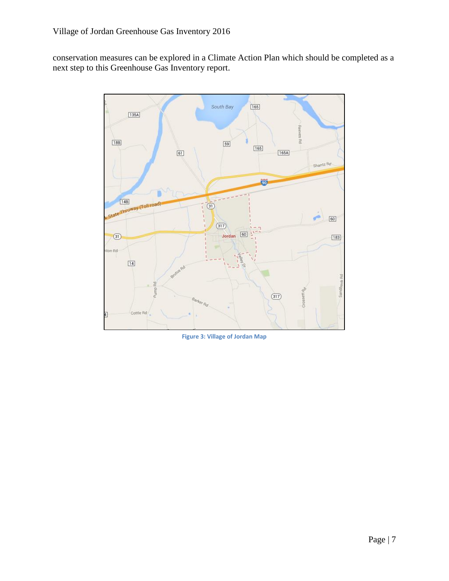conservation measures can be explored in a Climate Action Plan which should be completed as a next step to this Greenhouse Gas Inventory report.



**Figure 3: Village of Jordan Map**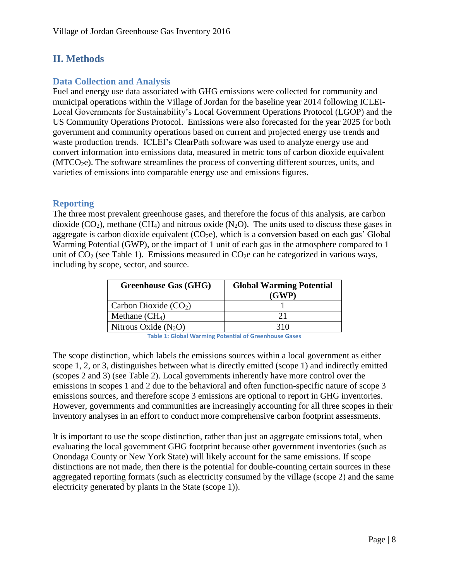# <span id="page-8-0"></span>**II. Methods**

#### <span id="page-8-1"></span>**Data Collection and Analysis**

Fuel and energy use data associated with GHG emissions were collected for community and municipal operations within the Village of Jordan for the baseline year 2014 following ICLEI-Local Governments for Sustainability's Local Government Operations Protocol (LGOP) and the US Community Operations Protocol. Emissions were also forecasted for the year 2025 for both government and community operations based on current and projected energy use trends and waste production trends. ICLEI's ClearPath software was used to analyze energy use and convert information into emissions data, measured in metric tons of carbon dioxide equivalent  $(MTCO<sub>2</sub>e)$ . The software streamlines the process of converting different sources, units, and varieties of emissions into comparable energy use and emissions figures.

#### <span id="page-8-2"></span>**Reporting**

The three most prevalent greenhouse gases, and therefore the focus of this analysis, are carbon dioxide  $(CO_2)$ , methane  $(CH_4)$  and nitrous oxide  $(N_2O)$ . The units used to discuss these gases in aggregate is carbon dioxide equivalent  $(CO<sub>2</sub>e)$ , which is a conversion based on each gas' Global Warming Potential (GWP), or the impact of 1 unit of each gas in the atmosphere compared to 1 unit of  $CO<sub>2</sub>$  (see Table 1). Emissions measured in  $CO<sub>2</sub>e$  can be categorized in various ways, including by scope, sector, and source.

| <b>Greenhouse Gas (GHG)</b> | <b>Global Warming Potential</b><br>(GWP) |
|-----------------------------|------------------------------------------|
| Carbon Dioxide $(CO2)$      |                                          |
| Methane $(CH_4)$            | ን 1                                      |
| Nitrous Oxide $(N_2O)$      | 310                                      |

**Table 1: Global Warming Potential of Greenhouse Gases**

The scope distinction, which labels the emissions sources within a local government as either scope 1, 2, or 3, distinguishes between what is directly emitted (scope 1) and indirectly emitted (scopes 2 and 3) (see Table 2). Local governments inherently have more control over the emissions in scopes 1 and 2 due to the behavioral and often function-specific nature of scope 3 emissions sources, and therefore scope 3 emissions are optional to report in GHG inventories. However, governments and communities are increasingly accounting for all three scopes in their inventory analyses in an effort to conduct more comprehensive carbon footprint assessments.

It is important to use the scope distinction, rather than just an aggregate emissions total, when evaluating the local government GHG footprint because other government inventories (such as Onondaga County or New York State) will likely account for the same emissions. If scope distinctions are not made, then there is the potential for double-counting certain sources in these aggregated reporting formats (such as electricity consumed by the village (scope 2) and the same electricity generated by plants in the State (scope 1)).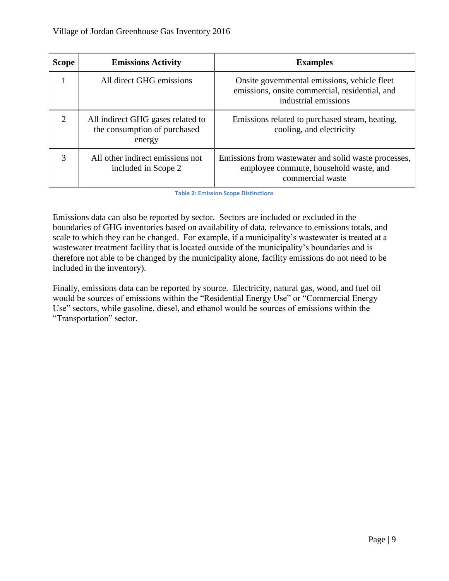| <b>Scope</b>          | <b>Emissions Activity</b>                                                   | <b>Examples</b>                                                                                                        |
|-----------------------|-----------------------------------------------------------------------------|------------------------------------------------------------------------------------------------------------------------|
|                       | All direct GHG emissions                                                    | Onsite governmental emissions, vehicle fleet<br>emissions, onsite commercial, residential, and<br>industrial emissions |
| $\mathcal{D}_{\cdot}$ | All indirect GHG gases related to<br>the consumption of purchased<br>energy | Emissions related to purchased steam, heating,<br>cooling, and electricity                                             |
| 3                     | All other indirect emissions not<br>included in Scope 2                     | Emissions from was tewater and solid was te processes,<br>employee commute, household waste, and<br>commercial waste   |

**Table 2: Emission Scope Distinctions**

Emissions data can also be reported by sector. Sectors are included or excluded in the boundaries of GHG inventories based on availability of data, relevance to emissions totals, and scale to which they can be changed. For example, if a municipality's wastewater is treated at a wastewater treatment facility that is located outside of the municipality's boundaries and is therefore not able to be changed by the municipality alone, facility emissions do not need to be included in the inventory).

Finally, emissions data can be reported by source. Electricity, natural gas, wood, and fuel oil would be sources of emissions within the "Residential Energy Use" or "Commercial Energy Use" sectors, while gasoline, diesel, and ethanol would be sources of emissions within the "Transportation" sector.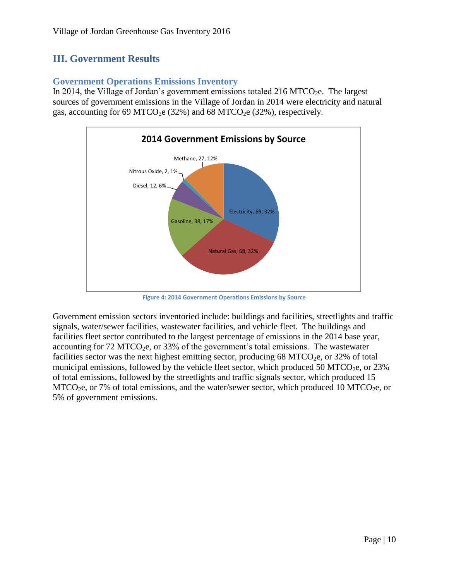# <span id="page-10-0"></span>**III. Government Results**

#### <span id="page-10-1"></span>**Government Operations Emissions Inventory**

In 2014, the Village of Jordan's government emissions totaled 216 MTCO<sub>2</sub>e. The largest sources of government emissions in the Village of Jordan in 2014 were electricity and natural gas, accounting for 69 MTCO<sub>2</sub>e (32%) and 68 MTCO<sub>2</sub>e (32%), respectively.



**Figure 4: 2014 Government Operations Emissions by Source**

Government emission sectors inventoried include: buildings and facilities, streetlights and traffic signals, water/sewer facilities, wastewater facilities, and vehicle fleet. The buildings and facilities fleet sector contributed to the largest percentage of emissions in the 2014 base year, accounting for  $72 \text{ MTCO}_2$ e, or  $33\%$  of the government's total emissions. The wastewater facilities sector was the next highest emitting sector, producing  $68$  MTCO<sub>2</sub>e, or 32% of total municipal emissions, followed by the vehicle fleet sector, which produced 50 MTCO<sub>2</sub>e, or 23% of total emissions, followed by the streetlights and traffic signals sector, which produced 15  $MTCO<sub>2</sub>e$ , or 7% of total emissions, and the water/sewer sector, which produced 10 MTCO<sub>2</sub>e, or 5% of government emissions.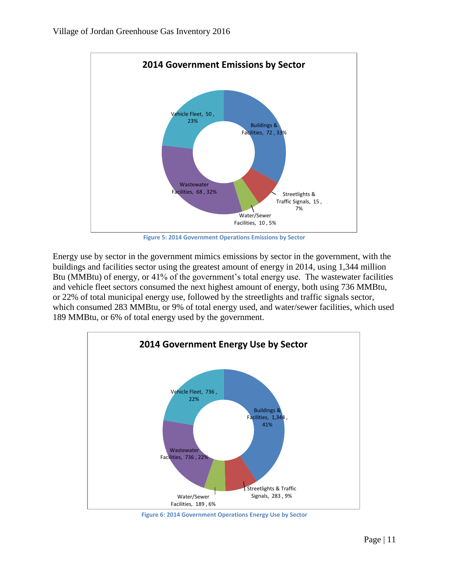

**Figure 5: 2014 Government Operations Emissions by Sector**

Energy use by sector in the government mimics emissions by sector in the government, with the buildings and facilities sector using the greatest amount of energy in 2014, using 1,344 million Btu (MMBtu) of energy, or 41% of the government's total energy use. The wastewater facilities and vehicle fleet sectors consumed the next highest amount of energy, both using 736 MMBtu, or 22% of total municipal energy use, followed by the streetlights and traffic signals sector, which consumed 283 MMBtu, or 9% of total energy used, and water/sewer facilities, which used 189 MMBtu, or 6% of total energy used by the government.



**Figure 6: 2014 Government Operations Energy Use by Sector**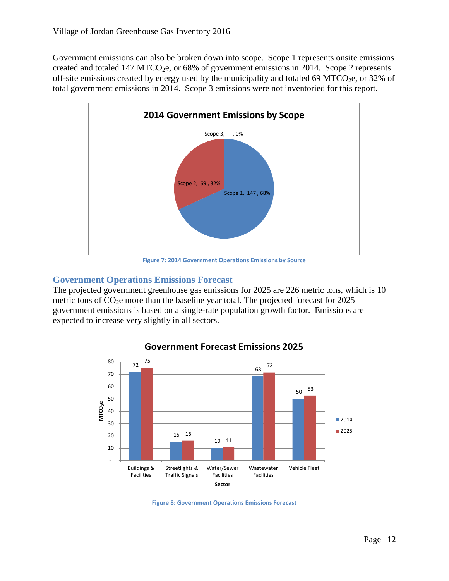Government emissions can also be broken down into scope. Scope 1 represents onsite emissions created and totaled 147 MTCO<sub>2</sub>e, or 68% of government emissions in 2014. Scope 2 represents off-site emissions created by energy used by the municipality and totaled 69 MTCO<sub>2</sub>e, or 32% of total government emissions in 2014. Scope 3 emissions were not inventoried for this report.



**Figure 7: 2014 Government Operations Emissions by Source**

#### <span id="page-12-0"></span>**Government Operations Emissions Forecast**

The projected government greenhouse gas emissions for 2025 are 226 metric tons, which is 10 metric tons of  $CO<sub>2</sub>e$  more than the baseline year total. The projected forecast for 2025 government emissions is based on a single-rate population growth factor. Emissions are expected to increase very slightly in all sectors.



**Figure 8: Government Operations Emissions Forecast**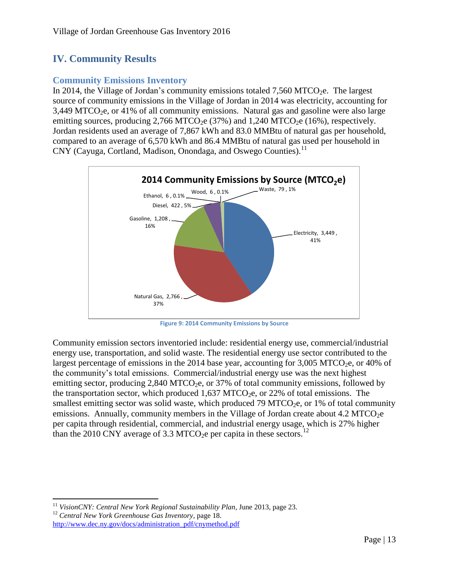# <span id="page-13-0"></span>**IV. Community Results**

#### <span id="page-13-1"></span>**Community Emissions Inventory**

In 2014, the Village of Jordan's community emissions totaled 7,560 MTCO<sub>2</sub>e. The largest source of community emissions in the Village of Jordan in 2014 was electricity, accounting for  $3,449$  MTCO<sub>2</sub>e, or 41% of all community emissions. Natural gas and gasoline were also large emitting sources, producing  $2,766 \text{ MTCO}_2$ e (37%) and  $1,240 \text{ MTCO}_2$ e (16%), respectively. Jordan residents used an average of 7,867 kWh and 83.0 MMBtu of natural gas per household, compared to an average of 6,570 kWh and 86.4 MMBtu of natural gas used per household in CNY (Cayuga, Cortland, Madison, Onondaga, and Oswego Counties).<sup>11</sup>



**Figure 9: 2014 Community Emissions by Source**

Community emission sectors inventoried include: residential energy use, commercial/industrial energy use, transportation, and solid waste. The residential energy use sector contributed to the largest percentage of emissions in the 2014 base year, accounting for  $3,005$  MTCO<sub>2</sub>e, or 40% of the community's total emissions. Commercial/industrial energy use was the next highest emitting sector, producing  $2,840$  MTCO<sub>2</sub>e, or 37% of total community emissions, followed by the transportation sector, which produced  $1,637$  MTCO<sub>2</sub>e, or 22% of total emissions. The smallest emitting sector was solid waste, which produced 79 MTCO<sub>2</sub>e, or 1% of total community emissions. Annually, community members in the Village of Jordan create about  $4.2 \text{ MTCO}_2$ e per capita through residential, commercial, and industrial energy usage, which is 27% higher than the 2010 CNY average of 3.3 MTCO<sub>2</sub>e per capita in these sectors.<sup>12</sup>

 $\overline{\phantom{a}}$ <sup>11</sup> *VisionCNY: Central New York Regional Sustainability Plan*, June 2013, page 23. <sup>12</sup> *Central New York Greenhouse Gas Inventory*, page 18. [http://www.dec.ny.gov/docs/administration\\_pdf/cnymethod.pdf](http://www.dec.ny.gov/docs/administration_pdf/cnymethod.pdf)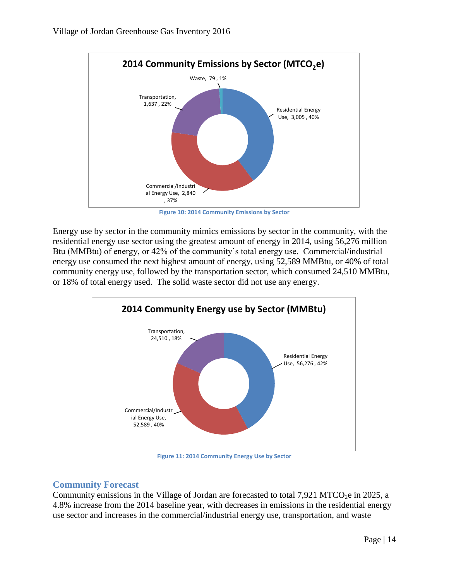

**Figure 10: 2014 Community Emissions by Sector**

Energy use by sector in the community mimics emissions by sector in the community, with the residential energy use sector using the greatest amount of energy in 2014, using 56,276 million Btu (MMBtu) of energy, or 42% of the community's total energy use. Commercial/industrial energy use consumed the next highest amount of energy, using 52,589 MMBtu, or 40% of total community energy use, followed by the transportation sector, which consumed 24,510 MMBtu, or 18% of total energy used. The solid waste sector did not use any energy.



**Figure 11: 2014 Community Energy Use by Sector**

#### <span id="page-14-0"></span>**Community Forecast**

Community emissions in the Village of Jordan are forecasted to total 7,921 MTCO<sub>2</sub>e in 2025, a 4.8% increase from the 2014 baseline year, with decreases in emissions in the residential energy use sector and increases in the commercial/industrial energy use, transportation, and waste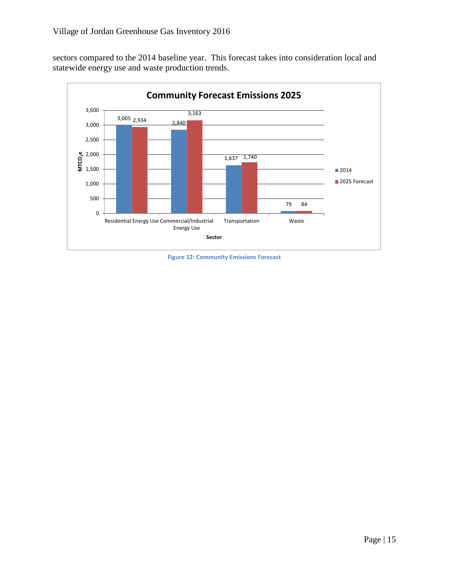sectors compared to the 2014 baseline year. This forecast takes into consideration local and statewide energy use and waste production trends.



**Figure 12: Community Emissions Forecast**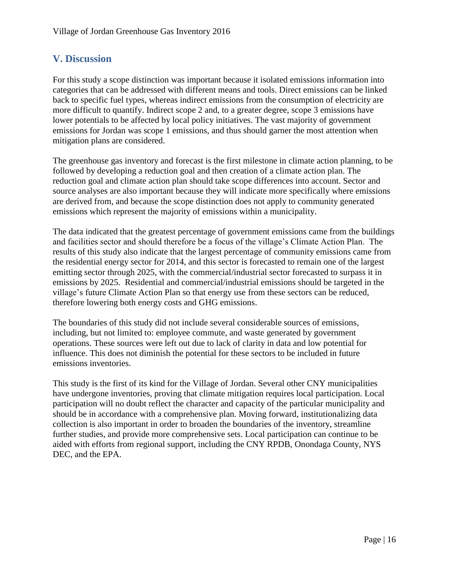# <span id="page-16-0"></span>**V. Discussion**

For this study a scope distinction was important because it isolated emissions information into categories that can be addressed with different means and tools. Direct emissions can be linked back to specific fuel types, whereas indirect emissions from the consumption of electricity are more difficult to quantify. Indirect scope 2 and, to a greater degree, scope 3 emissions have lower potentials to be affected by local policy initiatives. The vast majority of government emissions for Jordan was scope 1 emissions, and thus should garner the most attention when mitigation plans are considered.

The greenhouse gas inventory and forecast is the first milestone in climate action planning, to be followed by developing a reduction goal and then creation of a climate action plan. The reduction goal and climate action plan should take scope differences into account. Sector and source analyses are also important because they will indicate more specifically where emissions are derived from, and because the scope distinction does not apply to community generated emissions which represent the majority of emissions within a municipality.

The data indicated that the greatest percentage of government emissions came from the buildings and facilities sector and should therefore be a focus of the village's Climate Action Plan. The results of this study also indicate that the largest percentage of community emissions came from the residential energy sector for 2014, and this sector is forecasted to remain one of the largest emitting sector through 2025, with the commercial/industrial sector forecasted to surpass it in emissions by 2025. Residential and commercial/industrial emissions should be targeted in the village's future Climate Action Plan so that energy use from these sectors can be reduced, therefore lowering both energy costs and GHG emissions.

The boundaries of this study did not include several considerable sources of emissions, including, but not limited to: employee commute, and waste generated by government operations. These sources were left out due to lack of clarity in data and low potential for influence. This does not diminish the potential for these sectors to be included in future emissions inventories.

This study is the first of its kind for the Village of Jordan. Several other CNY municipalities have undergone inventories, proving that climate mitigation requires local participation. Local participation will no doubt reflect the character and capacity of the particular municipality and should be in accordance with a comprehensive plan. Moving forward, institutionalizing data collection is also important in order to broaden the boundaries of the inventory, streamline further studies, and provide more comprehensive sets. Local participation can continue to be aided with efforts from regional support, including the CNY RPDB, Onondaga County, NYS DEC, and the EPA.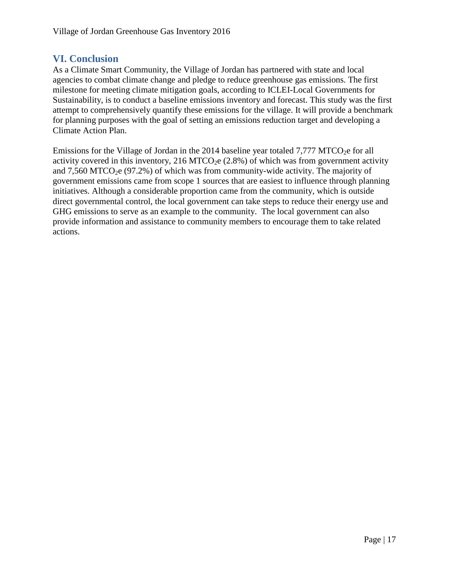## <span id="page-17-0"></span>**VI. Conclusion**

As a Climate Smart Community, the Village of Jordan has partnered with state and local agencies to combat climate change and pledge to reduce greenhouse gas emissions. The first milestone for meeting climate mitigation goals, according to ICLEI-Local Governments for Sustainability, is to conduct a baseline emissions inventory and forecast. This study was the first attempt to comprehensively quantify these emissions for the village. It will provide a benchmark for planning purposes with the goal of setting an emissions reduction target and developing a Climate Action Plan.

Emissions for the Village of Jordan in the 2014 baseline year totaled  $7.777$  MTCO<sub>2</sub>e for all activity covered in this inventory, 216 MTCO<sub>2</sub>e  $(2.8%)$  of which was from government activity and  $7,560$  MTCO<sub>2</sub>e (97.2%) of which was from community-wide activity. The majority of government emissions came from scope 1 sources that are easiest to influence through planning initiatives. Although a considerable proportion came from the community, which is outside direct governmental control, the local government can take steps to reduce their energy use and GHG emissions to serve as an example to the community. The local government can also provide information and assistance to community members to encourage them to take related actions.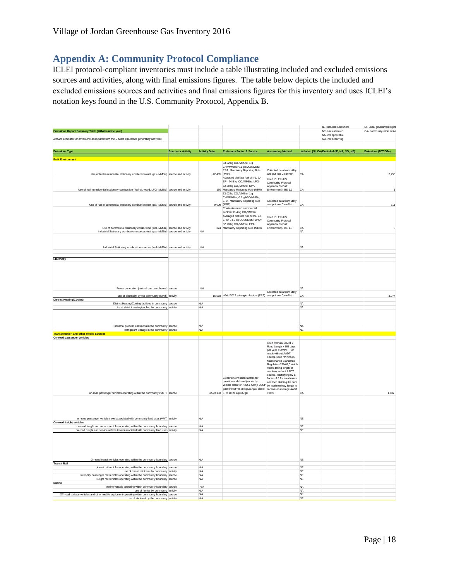# <span id="page-18-0"></span>**Appendix A: Community Protocol Compliance**

ICLEI protocol-compliant inventories must include a table illustrating included and excluded emissions sources and activities, along with final emissions figures. The table below depicts the included and excluded emissions sources and activities and final emissions figures for this inventory and uses ICLEI's notation keys found in the U.S. Community Protocol, Appendix B.

| Emissions Report Summary Table (2014 baseline year)<br>NE- Not estimated<br>NA- not applicable<br>Include estimates of emissions associated with the 5 basic emissions generating activities<br>NO- not occurring<br><b>Accounting Method</b><br>Included (SI, CA) Excluded (IE, NA, NO, NE)<br><b>Emissions Type</b><br><b>Source or Activity</b><br><b>Activity Data</b><br><b>Emissions Factor &amp; Source</b><br><b>Built Environment</b><br>53.02 kg CO <sub>2</sub> /MMBtu; 1 g<br>CH4/MMBtu; 0.1 g N2O/MMBtu;<br>EPA Mandatory Reporting Rule<br>Collected data from utility<br>42.405 (MRR)<br>and put into ClearPath<br>Use of fuel in residential stationary combustion (nat. gas- MMBtu) source and activity<br>CA<br>Averaged distillate fuel oil #1, 2,4<br>Lised ICI FI's LIS<br>EF= 74.5 kg CO2/MMBtu; LPG=<br>Community Protocol<br>62.98 kg CO <sub>2</sub> /MMBtu; EPA<br>Appendix C (Built<br>150 Mandatory Reporting Rule (MRR)<br>Environment), BE 1.2<br>Use of fuel in residential stationary combustion (fuel oil, wood, LPG- MMBtu) source and activity<br>CA<br>53.02 kg CO <sub>2</sub> /MMBtu; 1 g<br>CH4/MMBtu; 0.1 g N2O/MMBtu;<br>EPA Mandatory Reporting Rule<br>Collected data from utility<br>Use of fuel in commercial stationary combustion (nat. gas- MMBtu) source and activity<br>9,609 (MRR)<br>and put into ClearPath<br>CA | CA- community-wide activit<br>Emissions (MTCO2e) |
|-----------------------------------------------------------------------------------------------------------------------------------------------------------------------------------------------------------------------------------------------------------------------------------------------------------------------------------------------------------------------------------------------------------------------------------------------------------------------------------------------------------------------------------------------------------------------------------------------------------------------------------------------------------------------------------------------------------------------------------------------------------------------------------------------------------------------------------------------------------------------------------------------------------------------------------------------------------------------------------------------------------------------------------------------------------------------------------------------------------------------------------------------------------------------------------------------------------------------------------------------------------------------------------------------------------------------------------------------------------------------|--------------------------------------------------|
|                                                                                                                                                                                                                                                                                                                                                                                                                                                                                                                                                                                                                                                                                                                                                                                                                                                                                                                                                                                                                                                                                                                                                                                                                                                                                                                                                                       |                                                  |
|                                                                                                                                                                                                                                                                                                                                                                                                                                                                                                                                                                                                                                                                                                                                                                                                                                                                                                                                                                                                                                                                                                                                                                                                                                                                                                                                                                       |                                                  |
|                                                                                                                                                                                                                                                                                                                                                                                                                                                                                                                                                                                                                                                                                                                                                                                                                                                                                                                                                                                                                                                                                                                                                                                                                                                                                                                                                                       |                                                  |
|                                                                                                                                                                                                                                                                                                                                                                                                                                                                                                                                                                                                                                                                                                                                                                                                                                                                                                                                                                                                                                                                                                                                                                                                                                                                                                                                                                       |                                                  |
|                                                                                                                                                                                                                                                                                                                                                                                                                                                                                                                                                                                                                                                                                                                                                                                                                                                                                                                                                                                                                                                                                                                                                                                                                                                                                                                                                                       |                                                  |
|                                                                                                                                                                                                                                                                                                                                                                                                                                                                                                                                                                                                                                                                                                                                                                                                                                                                                                                                                                                                                                                                                                                                                                                                                                                                                                                                                                       | 2.255                                            |
|                                                                                                                                                                                                                                                                                                                                                                                                                                                                                                                                                                                                                                                                                                                                                                                                                                                                                                                                                                                                                                                                                                                                                                                                                                                                                                                                                                       |                                                  |
| Coal/coke mixed commercial                                                                                                                                                                                                                                                                                                                                                                                                                                                                                                                                                                                                                                                                                                                                                                                                                                                                                                                                                                                                                                                                                                                                                                                                                                                                                                                                            | 511                                              |
| sector= 93.4 kg CO <sub>2</sub> /MMBtu;<br>Averaged distillate fuel oil #1, 2,4<br>Lised ICLET's LIS<br>EFs= 74.5 kg CO <sub>2</sub> /MMBtu; LPG=<br>Community Protocol<br>62.98 kg CO <sub>2</sub> /MMBtu; EPA<br>Appendix C (Built                                                                                                                                                                                                                                                                                                                                                                                                                                                                                                                                                                                                                                                                                                                                                                                                                                                                                                                                                                                                                                                                                                                                  |                                                  |
| Use of commercial stationary combustion (fuel- MMBtu) source and activity<br>324 Mandatory Reporting Rule (MRR)<br>Environment), BE 1.3<br>CA<br><b>N/A</b><br>Industrial Stationary combustion sources (nat. gas- MMBtu) source and activity<br><b>NA</b>                                                                                                                                                                                                                                                                                                                                                                                                                                                                                                                                                                                                                                                                                                                                                                                                                                                                                                                                                                                                                                                                                                            |                                                  |
| Industrial Stationary combustion sources (fuel- MMBtu) source and activity<br><b>N/A</b><br><b>NA</b>                                                                                                                                                                                                                                                                                                                                                                                                                                                                                                                                                                                                                                                                                                                                                                                                                                                                                                                                                                                                                                                                                                                                                                                                                                                                 |                                                  |
|                                                                                                                                                                                                                                                                                                                                                                                                                                                                                                                                                                                                                                                                                                                                                                                                                                                                                                                                                                                                                                                                                                                                                                                                                                                                                                                                                                       |                                                  |
| Electricity                                                                                                                                                                                                                                                                                                                                                                                                                                                                                                                                                                                                                                                                                                                                                                                                                                                                                                                                                                                                                                                                                                                                                                                                                                                                                                                                                           |                                                  |
|                                                                                                                                                                                                                                                                                                                                                                                                                                                                                                                                                                                                                                                                                                                                                                                                                                                                                                                                                                                                                                                                                                                                                                                                                                                                                                                                                                       |                                                  |
| Power generation (natural gas use- therms) source<br><b>N/A</b><br>NA<br>Collected data from utility                                                                                                                                                                                                                                                                                                                                                                                                                                                                                                                                                                                                                                                                                                                                                                                                                                                                                                                                                                                                                                                                                                                                                                                                                                                                  |                                                  |
| 16,518 eGrid 2012 subregion factors (EPA) and put into ClearPath<br>use of electricity by the community (MWh) activity<br>CA<br><b>District Heating/Cooling</b>                                                                                                                                                                                                                                                                                                                                                                                                                                                                                                                                                                                                                                                                                                                                                                                                                                                                                                                                                                                                                                                                                                                                                                                                       | 3,074                                            |
| District Heating/Cooling facilities in community<br>source<br>N/A<br><b>NA</b><br>Use of district heating/cooling by community activity<br>N/A<br><b>NA</b>                                                                                                                                                                                                                                                                                                                                                                                                                                                                                                                                                                                                                                                                                                                                                                                                                                                                                                                                                                                                                                                                                                                                                                                                           |                                                  |
| <b>N/A</b><br>Industrial process emissions in the community source<br><b>NA</b>                                                                                                                                                                                                                                                                                                                                                                                                                                                                                                                                                                                                                                                                                                                                                                                                                                                                                                                                                                                                                                                                                                                                                                                                                                                                                       |                                                  |
| Refrigerant leakage in the community source<br><b>N/A</b><br>NE<br><b>Transportation and other Mobile Sources</b>                                                                                                                                                                                                                                                                                                                                                                                                                                                                                                                                                                                                                                                                                                                                                                                                                                                                                                                                                                                                                                                                                                                                                                                                                                                     |                                                  |
| On-road passenger vehicles                                                                                                                                                                                                                                                                                                                                                                                                                                                                                                                                                                                                                                                                                                                                                                                                                                                                                                                                                                                                                                                                                                                                                                                                                                                                                                                                            |                                                  |
| Used formula: AADT x<br>Road Length x 365 days<br>per year = AVMT. For<br>roads without AADT<br>counts, used "Minimum<br>Maintenance Standards<br>Regulation 239/02," which<br>meant taking length of<br>roadway without AADT<br>counts, multiplying by a<br>ClearPath emission factors for<br>factor of 6 for rural roads,<br>gasoline and diesel (varies by<br>and then dividing the sum<br>vehicle class for N2O & CH4): LGOP by total roadway length to<br>gasoline EF=8.78 kgCO2/gal; diesel receive an average AADT<br>count.<br>3,529,133 EF= 10.21 kgCO2/gal<br>on-road passenger vehicles operating within the community (VMT) source<br>CA                                                                                                                                                                                                                                                                                                                                                                                                                                                                                                                                                                                                                                                                                                                  | 1.637                                            |
|                                                                                                                                                                                                                                                                                                                                                                                                                                                                                                                                                                                                                                                                                                                                                                                                                                                                                                                                                                                                                                                                                                                                                                                                                                                                                                                                                                       |                                                  |
| on-road passenger vehicle travel associated with community land uses (VMT) activity<br>N/A<br>NF<br>On-road freight vehicles                                                                                                                                                                                                                                                                                                                                                                                                                                                                                                                                                                                                                                                                                                                                                                                                                                                                                                                                                                                                                                                                                                                                                                                                                                          |                                                  |
| on-road freight and service vehicles operating within the community boundary source<br>N/A<br><b>NF</b><br>on-road freight and service vehicle travel associated with community land uses activity<br>N/A<br>NE                                                                                                                                                                                                                                                                                                                                                                                                                                                                                                                                                                                                                                                                                                                                                                                                                                                                                                                                                                                                                                                                                                                                                       |                                                  |
|                                                                                                                                                                                                                                                                                                                                                                                                                                                                                                                                                                                                                                                                                                                                                                                                                                                                                                                                                                                                                                                                                                                                                                                                                                                                                                                                                                       |                                                  |
| On-road transit vehicles operating within the community boundary source<br>N/A<br>NE<br><b>Transit Rail</b>                                                                                                                                                                                                                                                                                                                                                                                                                                                                                                                                                                                                                                                                                                                                                                                                                                                                                                                                                                                                                                                                                                                                                                                                                                                           |                                                  |
| transit rail vehicles operating within the community boundary source<br>N/A<br>NE<br>N/A<br>$\mathsf{NE}\xspace$<br>use of transit rail travel by community activity                                                                                                                                                                                                                                                                                                                                                                                                                                                                                                                                                                                                                                                                                                                                                                                                                                                                                                                                                                                                                                                                                                                                                                                                  |                                                  |
| Inter-city passenger rail vehicles operating within the community boundary<br><b>N/A</b><br><b>NE</b><br>source                                                                                                                                                                                                                                                                                                                                                                                                                                                                                                                                                                                                                                                                                                                                                                                                                                                                                                                                                                                                                                                                                                                                                                                                                                                       |                                                  |
| Freight rail vehicles operating within the community boundary source<br><b>N/A</b><br><b>NE</b><br>Marine                                                                                                                                                                                                                                                                                                                                                                                                                                                                                                                                                                                                                                                                                                                                                                                                                                                                                                                                                                                                                                                                                                                                                                                                                                                             |                                                  |
| N/A<br><b>NA</b><br>Marine vessels operating within community boundary source                                                                                                                                                                                                                                                                                                                                                                                                                                                                                                                                                                                                                                                                                                                                                                                                                                                                                                                                                                                                                                                                                                                                                                                                                                                                                         |                                                  |
| use of ferries by community activity<br><b>N/A</b><br><b>NA</b><br>Off-road surface vehicles and other mobile equipment operating within community boundary source<br>N/A<br><b>NE</b>                                                                                                                                                                                                                                                                                                                                                                                                                                                                                                                                                                                                                                                                                                                                                                                                                                                                                                                                                                                                                                                                                                                                                                                |                                                  |
| Use of air travel by the community activity<br>N/A<br>NF                                                                                                                                                                                                                                                                                                                                                                                                                                                                                                                                                                                                                                                                                                                                                                                                                                                                                                                                                                                                                                                                                                                                                                                                                                                                                                              |                                                  |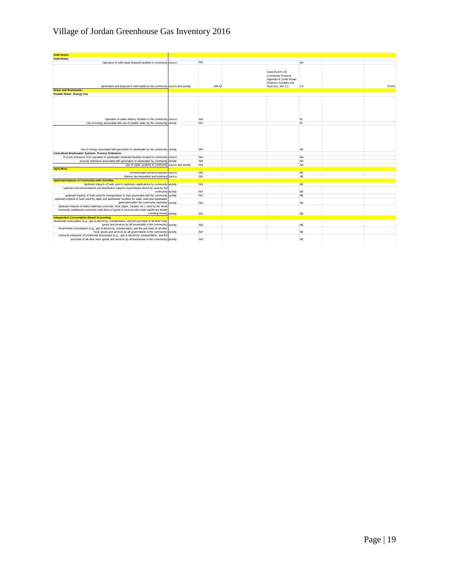# Village of Jordan Greenhouse Gas Inventory 2016

| <b>Solid Waste</b>                                                                                                                                                                                                          |            |                                                                                                                 |           |        |
|-----------------------------------------------------------------------------------------------------------------------------------------------------------------------------------------------------------------------------|------------|-----------------------------------------------------------------------------------------------------------------|-----------|--------|
| <b>Solid Waste</b>                                                                                                                                                                                                          |            |                                                                                                                 |           |        |
| Operation of solid waste disposal facilities in community source                                                                                                                                                            | <b>N/A</b> |                                                                                                                 | <b>NA</b> |        |
| generation and disposal of solid waste by the community source and activity                                                                                                                                                 | 939.43     | Used ICLEI's US<br>Community Protocol<br>Appendix E (Solid Waste<br>Emission Activities and<br>Sources), SW 2.2 | CA        | 79.041 |
| <b>Water and Wastewater</b>                                                                                                                                                                                                 |            |                                                                                                                 |           |        |
| Potable Water- Energy Use                                                                                                                                                                                                   |            |                                                                                                                 |           |        |
| Operation of water delivery facilities in the community source                                                                                                                                                              | <b>N/A</b> |                                                                                                                 | IE        |        |
| Use of energy associated with use of potable water by the community activity                                                                                                                                                | <b>N/A</b> |                                                                                                                 | IE        |        |
|                                                                                                                                                                                                                             | N/A        |                                                                                                                 | <b>NE</b> |        |
| Use of energy associated with generation of wastewater by the community activity                                                                                                                                            |            |                                                                                                                 |           |        |
| <b>Centralized Wastewater Systems- Process Emissions</b><br>Process emissions from operation of wastewater treatment facilities located in community source                                                                 | N/A        |                                                                                                                 | <b>NA</b> |        |
|                                                                                                                                                                                                                             | <b>N/A</b> |                                                                                                                 | <b>NA</b> |        |
| process emissions associated with generation of wastewater by community activity<br>Use of septic systems in community source and activity                                                                                  | N/A        |                                                                                                                 | <b>NA</b> |        |
| <b>Agriculture</b>                                                                                                                                                                                                          |            |                                                                                                                 |           |        |
|                                                                                                                                                                                                                             | N/A        |                                                                                                                 | <b>NE</b> |        |
| Domesticated animal production source                                                                                                                                                                                       | <b>N/A</b> |                                                                                                                 | <b>NE</b> |        |
| Manure decomposition and treatment source                                                                                                                                                                                   |            |                                                                                                                 |           |        |
| <b>Upstream Impacts of Community-wide Activities</b><br>Upstream impacts of fuels used in stationary applications by community activity                                                                                     | <b>N/A</b> |                                                                                                                 | <b>NE</b> |        |
| upstream and transmissions and distribution impacts of purchased electricity used by the<br>community activity                                                                                                              | N/A        |                                                                                                                 | <b>NE</b> |        |
| upstream impacts of fuels used for transportation in trips associated with the community activity                                                                                                                           | <b>N/A</b> |                                                                                                                 | <b>NE</b> |        |
| upstream impacts of fuels used by water and wastewater facilities for water used and wastewater<br>generated within the community boundary activity                                                                         | <b>N/A</b> |                                                                                                                 | NE.       |        |
| Upstream impacts of select materials (concrete, food, paper, carpets, etc.) used by the whole<br>community (additional community-wide flows of goods & services will create significant double<br>counting issues) activity | N/A        |                                                                                                                 | <b>NE</b> |        |
| <b>Independent Consumption-Based Accounting</b>                                                                                                                                                                             |            |                                                                                                                 |           |        |
| Household consumption (e.g., gas & electricity, transportation, and the purchase of all other food,<br>goods and services by all households in the community) activity                                                      | <b>N/A</b> |                                                                                                                 | NE.       |        |
| Government consumption (e.g., gas & electricity, transportation, and the purchase of all other<br>food, goods and services by all governments in the community) activity                                                    | N/A        |                                                                                                                 | <b>NE</b> |        |
| Lifecycle emissions of community businesses (e.g., gas & electricity, transportation, and the<br>purchase of all other food, goods and services by all businesses in the community) activity                                | N/A        |                                                                                                                 | <b>NE</b> |        |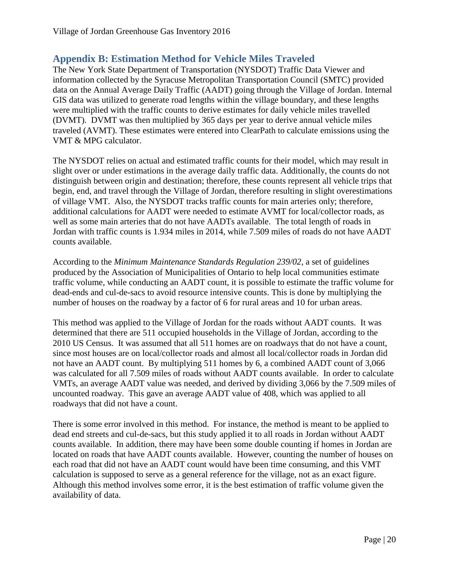# <span id="page-20-0"></span>**Appendix B: Estimation Method for Vehicle Miles Traveled**

The New York State Department of Transportation (NYSDOT) Traffic Data Viewer and information collected by the Syracuse Metropolitan Transportation Council (SMTC) provided data on the Annual Average Daily Traffic (AADT) going through the Village of Jordan. Internal GIS data was utilized to generate road lengths within the village boundary, and these lengths were multiplied with the traffic counts to derive estimates for daily vehicle miles travelled (DVMT). DVMT was then multiplied by 365 days per year to derive annual vehicle miles traveled (AVMT). These estimates were entered into ClearPath to calculate emissions using the VMT & MPG calculator.

The NYSDOT relies on actual and estimated traffic counts for their model, which may result in slight over or under estimations in the average daily traffic data. Additionally, the counts do not distinguish between origin and destination; therefore, these counts represent all vehicle trips that begin, end, and travel through the Village of Jordan, therefore resulting in slight overestimations of village VMT. Also, the NYSDOT tracks traffic counts for main arteries only; therefore, additional calculations for AADT were needed to estimate AVMT for local/collector roads, as well as some main arteries that do not have AADTs available. The total length of roads in Jordan with traffic counts is 1.934 miles in 2014, while 7.509 miles of roads do not have AADT counts available.

According to the *Minimum Maintenance Standards Regulation 239/02*, a set of guidelines produced by the Association of Municipalities of Ontario to help local communities estimate traffic volume, while conducting an AADT count, it is possible to estimate the traffic volume for dead-ends and cul-de-sacs to avoid resource intensive counts. This is done by multiplying the number of houses on the roadway by a factor of 6 for rural areas and 10 for urban areas.

This method was applied to the Village of Jordan for the roads without AADT counts. It was determined that there are 511 occupied households in the Village of Jordan, according to the 2010 US Census. It was assumed that all 511 homes are on roadways that do not have a count, since most houses are on local/collector roads and almost all local/collector roads in Jordan did not have an AADT count. By multiplying 511 homes by 6, a combined AADT count of 3,066 was calculated for all 7.509 miles of roads without AADT counts available. In order to calculate VMTs, an average AADT value was needed, and derived by dividing 3,066 by the 7.509 miles of uncounted roadway. This gave an average AADT value of 408, which was applied to all roadways that did not have a count.

There is some error involved in this method. For instance, the method is meant to be applied to dead end streets and cul-de-sacs, but this study applied it to all roads in Jordan without AADT counts available. In addition, there may have been some double counting if homes in Jordan are located on roads that have AADT counts available. However, counting the number of houses on each road that did not have an AADT count would have been time consuming, and this VMT calculation is supposed to serve as a general reference for the village, not as an exact figure. Although this method involves some error, it is the best estimation of traffic volume given the availability of data.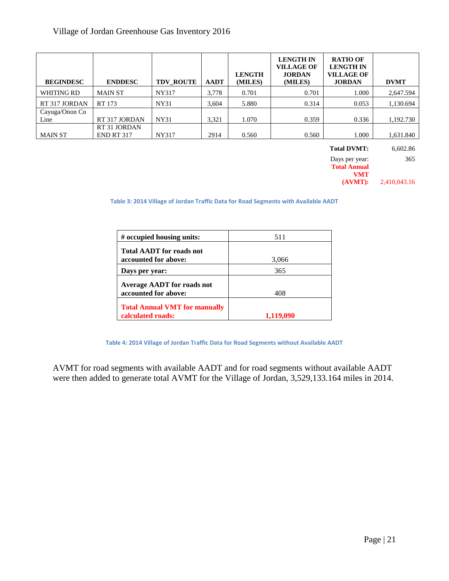| <b>BEGINDESC</b>       | <b>ENDDESC</b>                    | <b>TDV ROUTE</b> | <b>AADT</b> | <b>LENGTH</b><br>(MILES) | <b>LENGTH IN</b><br><b>VILLAGE OF</b><br><b>JORDAN</b><br>(MILES) | <b>RATIO OF</b><br><b>LENGTH IN</b><br><b>VILLAGE OF</b><br><b>JORDAN</b> | <b>DVMT</b> |
|------------------------|-----------------------------------|------------------|-------------|--------------------------|-------------------------------------------------------------------|---------------------------------------------------------------------------|-------------|
| WHITING RD             | <b>MAIN ST</b>                    | NY317            | 3,778       | 0.701                    | 0.701                                                             | 1.000                                                                     | 2,647.594   |
| RT 317 JORDAN          | RT 173                            | NY31             | 3,604       | 5.880                    | 0.314                                                             | 0.053                                                                     | 1,130.694   |
| Cayuga/Onon Co<br>Line | RT 317 JORDAN                     | NY31             | 3,321       | 1.070                    | 0.359                                                             | 0.336                                                                     | 1,192.730   |
| <b>MAIN ST</b>         | RT 31 JORDAN<br><b>END RT 317</b> | NY317            | 2914        | 0.560                    | 0.560                                                             | 1.000                                                                     | 1,631.840   |

| <b>Total DVMT:</b>                    | 6,602.86     |
|---------------------------------------|--------------|
| Days per year:<br><b>Total Annual</b> | 365          |
| <b>VMT</b><br>$(AVMT)$ :              | 2,410,043.16 |

**Table 3: 2014 Village of Jordan Traffic Data for Road Segments with Available AADT**

| # occupied housing units:                                 | 511          |
|-----------------------------------------------------------|--------------|
| <b>Total AADT</b> for roads not                           |              |
| accounted for above:<br>Days per year:                    | 3,066<br>365 |
| <b>Average AADT</b> for roads not<br>accounted for above: | 408          |
| <b>Total Annual VMT for manually</b><br>calculated roads: | 1,119,090    |

**Table 4: 2014 Village of Jordan Traffic Data for Road Segments without Available AADT**

AVMT for road segments with available AADT and for road segments without available AADT were then added to generate total AVMT for the Village of Jordan, 3,529,133.164 miles in 2014.